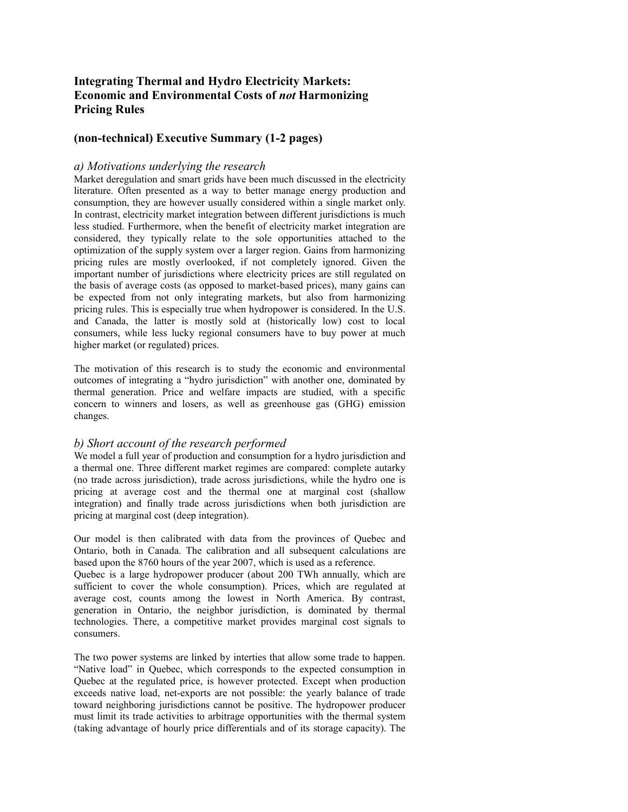# **Integrating Thermal and Hydro Electricity Markets: Economic and Environmental Costs of** *not* **Harmonizing Pricing Rules**

# **(non-technical) Executive Summary (1-2 pages)**

### *a) Motivations underlying the research*

Market deregulation and smart grids have been much discussed in the electricity literature. Often presented as a way to better manage energy production and consumption, they are however usually considered within a single market only. In contrast, electricity market integration between different jurisdictions is much less studied. Furthermore, when the benefit of electricity market integration are considered, they typically relate to the sole opportunities attached to the optimization of the supply system over a larger region. Gains from harmonizing pricing rules are mostly overlooked, if not completely ignored. Given the important number of jurisdictions where electricity prices are still regulated on the basis of average costs (as opposed to market-based prices), many gains can be expected from not only integrating markets, but also from harmonizing pricing rules. This is especially true when hydropower is considered. In the U.S. and Canada, the latter is mostly sold at (historically low) cost to local consumers, while less lucky regional consumers have to buy power at much higher market (or regulated) prices.

The motivation of this research is to study the economic and environmental outcomes of integrating a "hydro jurisdiction" with another one, dominated by thermal generation. Price and welfare impacts are studied, with a specific concern to winners and losers, as well as greenhouse gas (GHG) emission changes.

### *b) Short account of the research performed*

We model a full year of production and consumption for a hydro jurisdiction and a thermal one. Three different market regimes are compared: complete autarky (no trade across jurisdiction), trade across jurisdictions, while the hydro one is pricing at average cost and the thermal one at marginal cost (shallow integration) and finally trade across jurisdictions when both jurisdiction are pricing at marginal cost (deep integration).

Our model is then calibrated with data from the provinces of Quebec and Ontario, both in Canada. The calibration and all subsequent calculations are based upon the 8760 hours of the year 2007, which is used as a reference.

Quebec is a large hydropower producer (about 200 TWh annually, which are sufficient to cover the whole consumption). Prices, which are regulated at average cost, counts among the lowest in North America. By contrast, generation in Ontario, the neighbor jurisdiction, is dominated by thermal technologies. There, a competitive market provides marginal cost signals to consumers.

The two power systems are linked by interties that allow some trade to happen. "Native load" in Quebec, which corresponds to the expected consumption in Quebec at the regulated price, is however protected. Except when production exceeds native load, net-exports are not possible: the yearly balance of trade toward neighboring jurisdictions cannot be positive. The hydropower producer must limit its trade activities to arbitrage opportunities with the thermal system (taking advantage of hourly price differentials and of its storage capacity). The